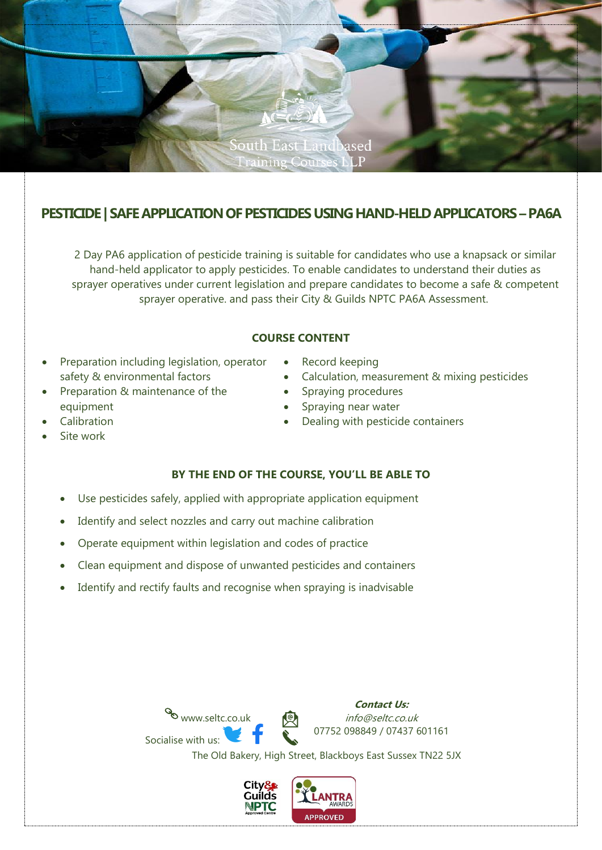

# **PESTICIDE** | SAFE APPLICATION OF PESTICIDES USING HAND-HELD APPLICATORS – PA6A

2 Day PA6 application of pesticide training is suitable for candidates who use a knapsack or similar hand-held applicator to apply pesticides. To enable candidates to understand their duties as sprayer operatives under current legislation and prepare candidates to become a safe & competent sprayer operative. and pass their City & Guilds NPTC PA6A Assessment.

### **COURSE CONTENT**

- Preparation including legislation, operator safety & environmental factors
- Preparation & maintenance of the equipment
- Record keeping
- Calculation, measurement & mixing pesticides
- Spraying procedures
- Spraying near water
- Dealing with pesticide containers

**Calibration** Site work

## **BY THE END OF THE COURSE, YOU'LL BE ABLE TO**

- Use pesticides safely, applied with appropriate application equipment
- Identify and select nozzles and carry out machine calibration
- Operate equipment within legislation and codes of practice
- Clean equipment and dispose of unwanted pesticides and containers
- Identify and rectify faults and recognise when spraying is inadvisable